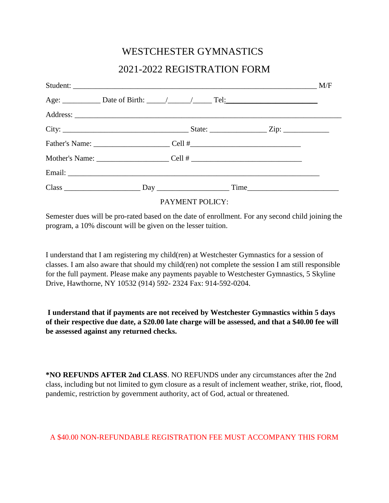## WESTCHESTER GYMNASTICS 2021-2022 REGISTRATION FORM

## PAYMENT POLICY:

Semester dues will be pro-rated based on the date of enrollment. For any second child joining the program, a 10% discount will be given on the lesser tuition.

I understand that I am registering my child(ren) at Westchester Gymnastics for a session of classes. I am also aware that should my child(ren) not complete the session I am still responsible for the full payment. Please make any payments payable to Westchester Gymnastics, 5 Skyline Drive, Hawthorne, NY 10532 (914) 592- 2324 Fax: 914-592-0204.

**I understand that if payments are not received by Westchester Gymnastics within 5 days of their respective due date, a \$20.00 late charge will be assessed, and that a \$40.00 fee will be assessed against any returned checks.** 

**\*NO REFUNDS AFTER 2nd CLASS**. NO REFUNDS under any circumstances after the 2nd class, including but not limited to gym closure as a result of inclement weather, strike, riot, flood, pandemic, restriction by government authority, act of God, actual or threatened.

## A \$40.00 NON-REFUNDABLE REGISTRATION FEE MUST ACCOMPANY THIS FORM